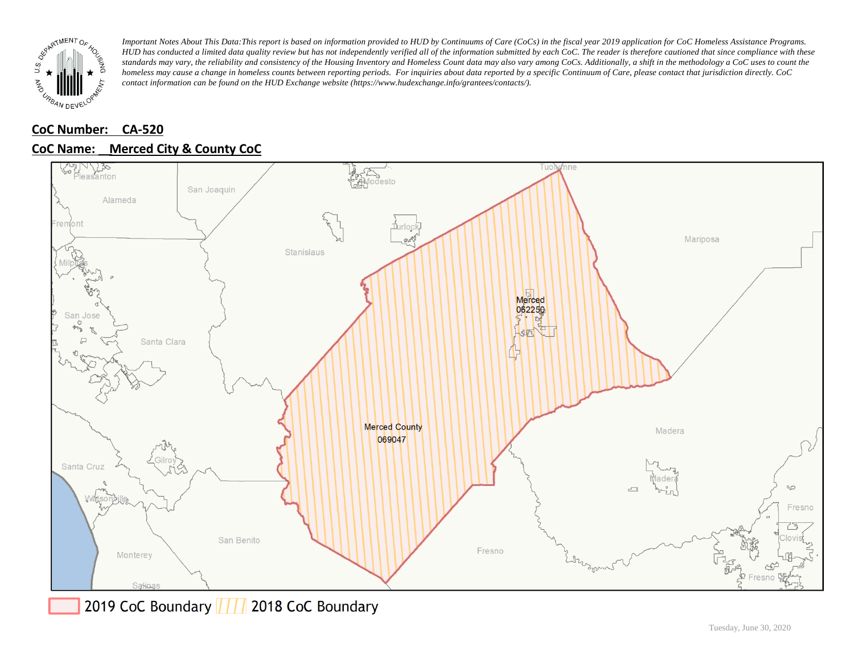

## **CoC Number: CA-520**

### **CoC Name: \_\_ Merced City & County CoC**



2019 CoC Boundary | | | 2018 CoC Boundary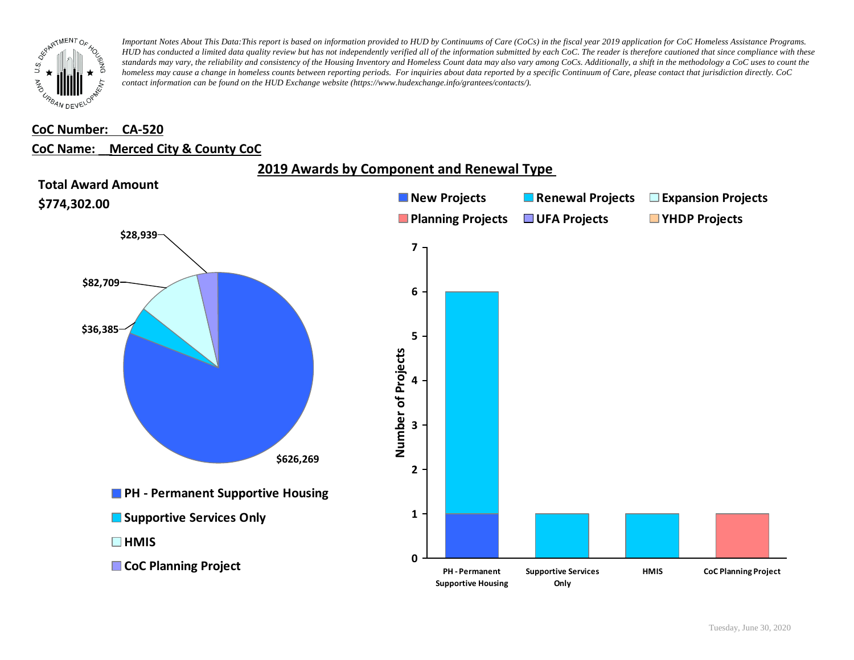

#### **CoC Number: CA-520**

#### **CoC Name: \_\_ Merced City & County CoC**

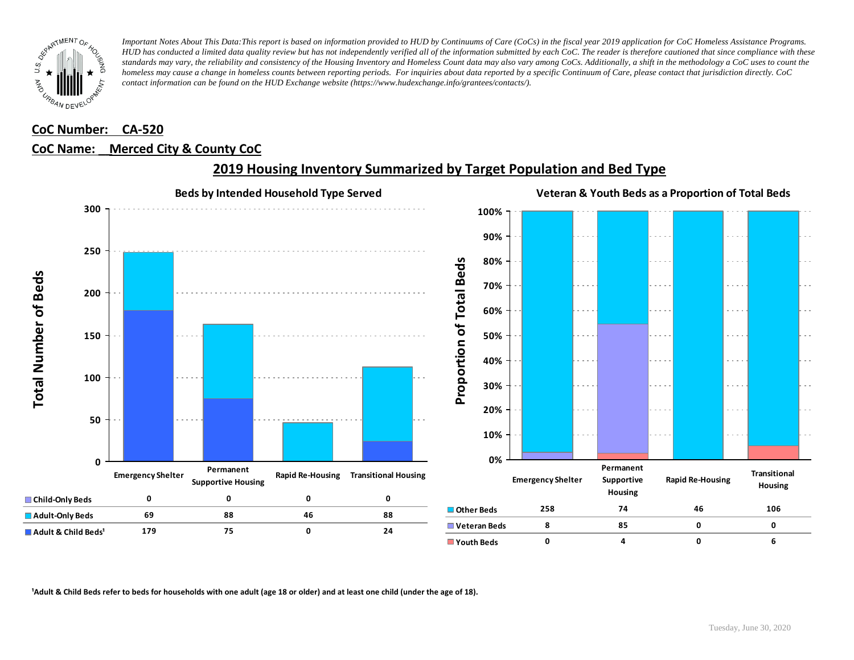

# **CoC Number: CA-520**

#### **CoC Name: \_\_ Merced City & County CoC**



## **2019 Housing Inventory Summarized by Target Population and Bed Type**

<sup>1</sup> Adult & Child Beds refer to beds for households with one adult (age 18 or older) and at least one child (under the age of 18).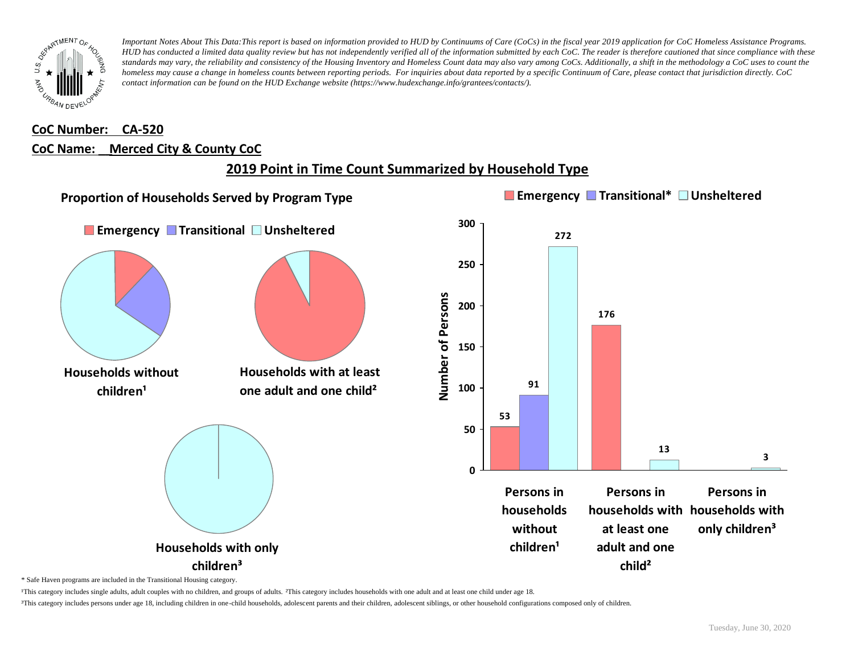

## **CoC Number: CA-520 CoC Name: \_\_ Merced City & County CoC**

# **2019 Point in Time Count Summarized by Household Type**



\* Safe Haven programs are included in the Transitional Housing category.

¹This category includes single adults, adult couples with no children, and groups of adults. ²This category includes households with one adult and at least one child under age 18.

³This category includes persons under age 18, including children in one-child households, adolescent parents and their children, adolescent siblings, or other household configurations composed only of children.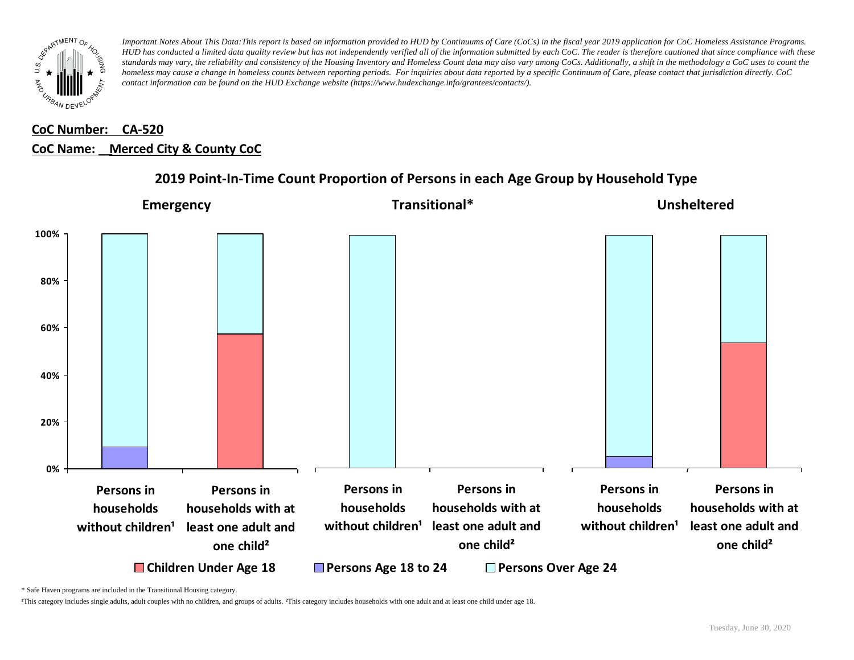

## **CoC Number: CA-520 CoC Name: \_\_ Merced City & County CoC**



## **2019 Point-In-Time Count Proportion of Persons in each Age Group by Household Type**

\* Safe Haven programs are included in the Transitional Housing category.

¹This category includes single adults, adult couples with no children, and groups of adults. ²This category includes households with one adult and at least one child under age 18.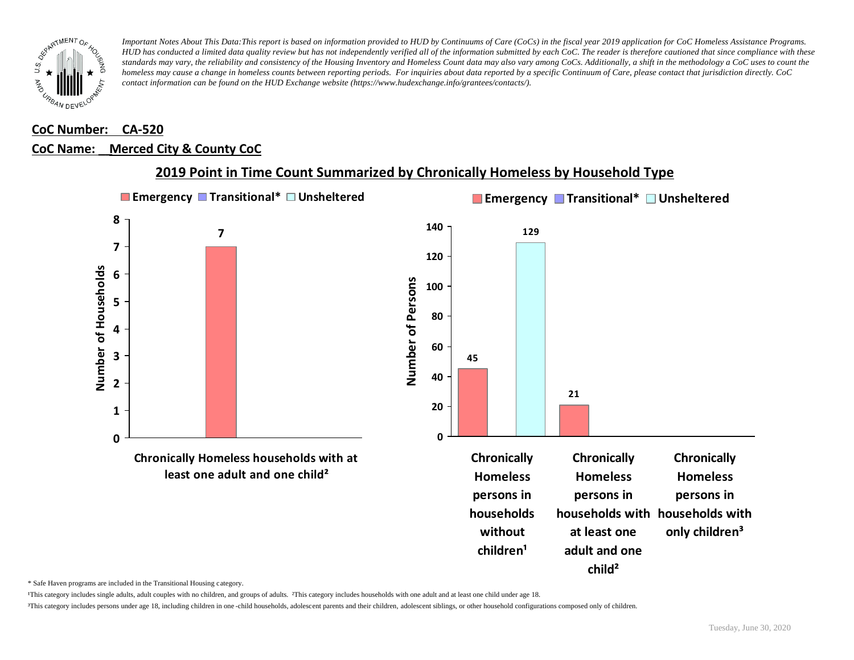

#### **CoC Number: CA-520**

#### **CoC Name: \_\_ Merced City & County CoC**



### **2019 Point in Time Count Summarized by Chronically Homeless by Household Type**

\* Safe Haven programs are included in the Transitional Housing category.

¹This category includes single adults, adult couples with no children, and groups of adults. ²This category includes households with one adult and at least one child under age 18.

³This category includes persons under age 18, including children in one -child households, adolescent parents and their children, adolescent siblings, or other household configurations composed only of children.